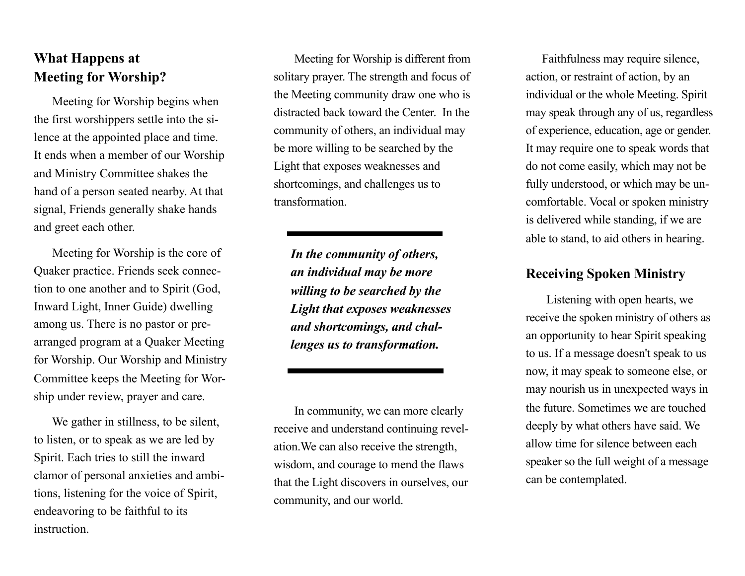## **What Happens at Meeting for Worship?**

 Meeting for Worship begins when the first worshippers settle into the silence at the appointed place and time. It ends when a member of our Worship and Ministry Committee shakes the hand of a person seated nearby. At that signal, Friends generally shake hands and greet each other.

 Meeting for Worship is the core of Quaker practice. Friends seek connection to one another and to Spirit (God, Inward Light, Inner Guide) dwelling among us. There is no pastor or prearranged program at a Quaker Meeting for Worship. Our Worship and Ministry Committee keeps the Meeting for Worship under review, prayer and care.

 We gather in stillness, to be silent, to listen, or to speak as we are led by Spirit. Each tries to still the inward clamor of personal anxieties and ambitions, listening for the voice of Spirit, endeavoring to be faithful to its instruction.

 Meeting for Worship is different from solitary prayer. The strength and focus of the Meeting community draw one who is distracted back toward the Center. In the community of others, an individual may be more willing to be searched by the Light that exposes weaknesses and shortcomings, and challenges us to transformation.

*In the community of others, an individual may be more willing to be searched by the Light that exposes weaknesses and shortcomings, and challenges us to transformation.* 

 In community, we can more clearly receive and understand continuing revelation.We can also receive the strength, wisdom, and courage to mend the flaws that the Light discovers in ourselves, our community, and our world.

 Faithfulness may require silence, action, or restraint of action, by an individual or the whole Meeting. Spirit may speak through any of us, regardless of experience, education, age or gender. It may require one to speak words that do not come easily, which may not be fully understood, or which may be uncomfortable. Vocal or spoken ministry is delivered while standing, if we are able to stand, to aid others in hearing.

## **Receiving Spoken Ministry**

 Listening with open hearts, we receive the spoken ministry of others as an opportunity to hear Spirit speaking to us. If a message doesn't speak to us now, it may speak to someone else, or may nourish us in unexpected ways in the future. Sometimes we are touched deeply by what others have said. We allow time for silence between each speaker so the full weight of a message can be contemplated.